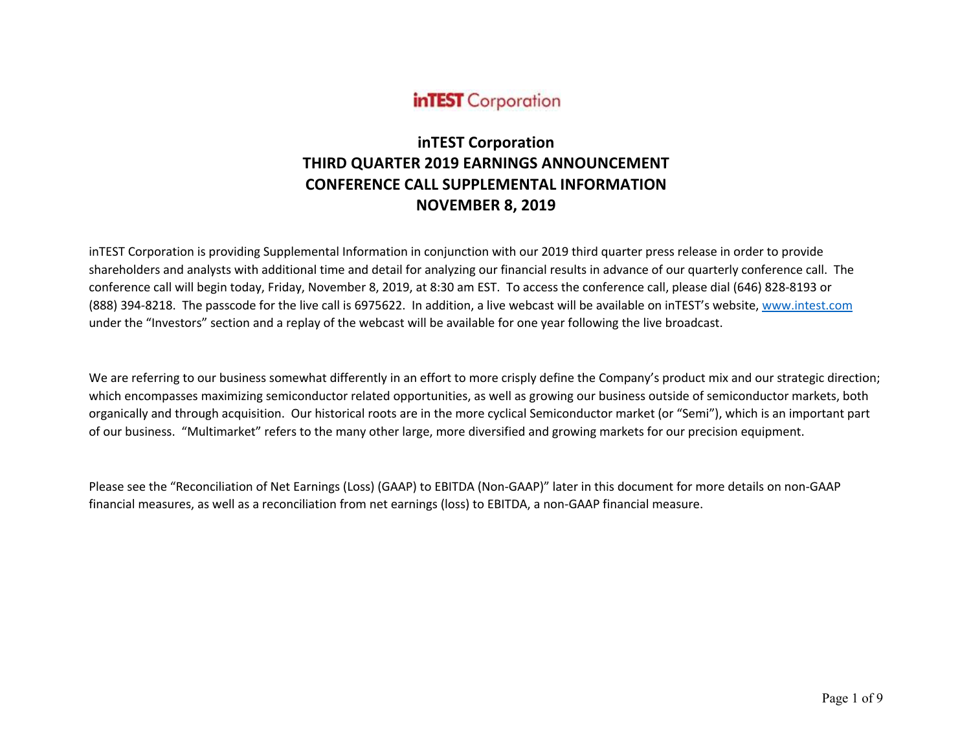

# **inTEST Corporation THIRD QUARTER 2019 EARNINGS ANNOUNCEMENT CONFERENCE CALL SUPPLEMENTAL INFORMATION NOVEMBER 8, 2019**

inTEST Corporation is providing Supplemental Information in conjunction with our 2019 third quarter press release in order to provide shareholders and analysts with additional time and detail for analyzing our financial results in advance of our quarterly conference call. The conference call will begin today, Friday, November 8, 2019, at 8:30 am EST. To access the conference call, please dial (646) 828-8193 or (888) 394-8218. The passcode for the live call is 6975622. In addition, a live webcast will be available on inTEST's website, www.intest.com under the "Investors" section and a replay of the webcast will be available for one year following the live broadcast.

We are referring to our business somewhat differently in an effort to more crisply define the Company's product mix and our strategic direction; which encompasses maximizing semiconductor related opportunities, as well as growing our business outside of semiconductor markets, both organically and through acquisition. Our historical roots are in the more cyclical Semiconductor market (or "Semi"), which is an important part of our business. "Multimarket" refers to the many other large, more diversified and growing markets for our precision equipment.

Please see the "Reconciliation of Net Earnings (Loss) (GAAP) to EBITDA (Non-GAAP)" later in this document for more details on non-GAAP financial measures, as well as a reconciliation from net earnings (loss) to EBITDA, a non-GAAP financial measure.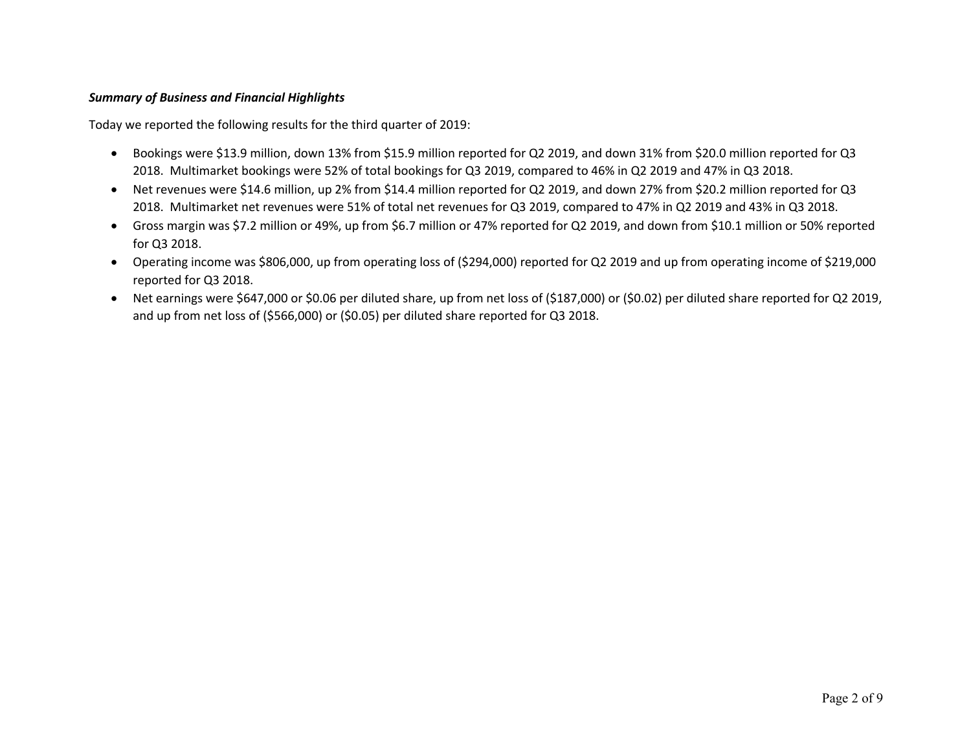# *Summary of Business and Financial Highlights*

Today we reported the following results for the third quarter of 2019:

- Bookings were \$13.9 million, down 13% from \$15.9 million reported for Q2 2019, and down 31% from \$20.0 million reported for Q3 2018. Multimarket bookings were 52% of total bookings for Q3 2019, compared to 46% in Q2 2019 and 47% in Q3 2018.
- Net revenues were \$14.6 million, up 2% from \$14.4 million reported for Q2 2019, and down 27% from \$20.2 million reported for Q3 2018. Multimarket net revenues were 51% of total net revenues for Q3 2019, compared to 47% in Q2 2019 and 43% in Q3 2018.
- Gross margin was \$7.2 million or 49%, up from \$6.7 million or 47% reported for Q2 2019, and down from \$10.1 million or 50% reported for Q3 2018.
- Operating income was \$806,000, up from operating loss of (\$294,000) reported for Q2 2019 and up from operating income of \$219,000 reported for Q3 2018.
- Net earnings were \$647,000 or \$0.06 per diluted share, up from net loss of (\$187,000) or (\$0.02) per diluted share reported for Q2 2019, and up from net loss of (\$566,000) or (\$0.05) per diluted share reported for Q3 2018.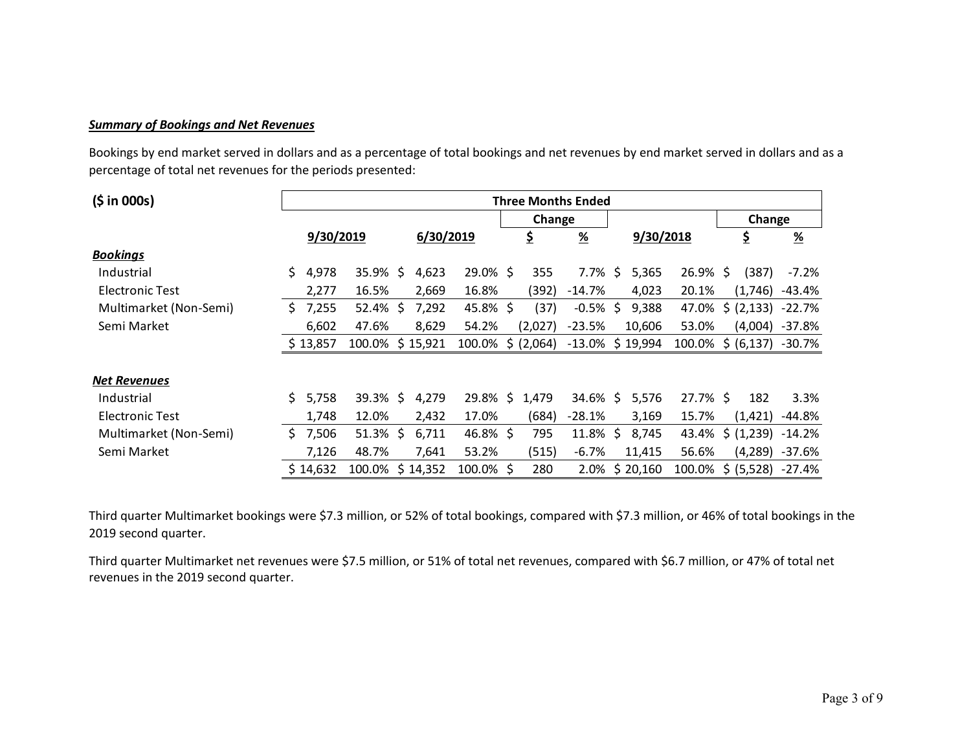### *Summary of Bookings and Net Revenues*

Bookings by end market served in dollars and as a percentage of total bookings and net revenues by end market served in dollars and as a percentage of total net revenues for the periods presented:

| (5 in 000s)            | <b>Three Months Ended</b> |           |                 |  |           |             |  |           |                     |  |           |                          |                     |                  |
|------------------------|---------------------------|-----------|-----------------|--|-----------|-------------|--|-----------|---------------------|--|-----------|--------------------------|---------------------|------------------|
|                        |                           |           |                 |  |           | Change      |  |           |                     |  |           |                          | Change              |                  |
|                        |                           | 9/30/2019 |                 |  | 6/30/2019 |             |  | \$        | <u>%</u>            |  | 9/30/2018 |                          | \$                  | $\frac{9}{6}$    |
| <b>Bookings</b>        |                           |           |                 |  |           |             |  |           |                     |  |           |                          |                     |                  |
| Industrial             | \$.                       | 4,978     | $35.9\%$ \$     |  | 4,623     | $29.0\%$ \$ |  | 355       | 7.7% \$             |  | 5,365     | 26.9% \$                 | (387)               | -7.2%            |
| Electronic Test        |                           | 2,277     | 16.5%           |  | 2,669     | 16.8%       |  | (392)     | $-14.7\%$           |  | 4,023     | 20.1%                    | (1,746)             | -43.4%           |
| Multimarket (Non-Semi) | S.                        | 7,255     | $52.4\%$ \$     |  | 7,292     | 45.8%\$     |  | (37)      | $-0.5\%$ \$         |  | 9,388     | 47.0%                    | $$ (2,133) -22.7\%$ |                  |
| Semi Market            |                           | 6,602     | 47.6%           |  | 8,629     | 54.2%       |  | (2,027)   | $-23.5%$            |  | 10,606    | 53.0%                    | (4,004)             | $-37.8%$         |
|                        |                           | \$13,857  | 100.0% \$15,921 |  |           | 100.0%      |  | \$(2,064) | $-13.0\%$ \$ 19,994 |  |           | 100.0% \$ (6,137) -30.7% |                     |                  |
| <b>Net Revenues</b>    |                           |           |                 |  |           |             |  |           |                     |  |           |                          |                     |                  |
| Industrial             |                           | \$5,758   | $39.3\%$ \$     |  | 4,279     | $29.8\%$ \$ |  | 1,479     | 34.6% \$            |  | 5,576     | 27.7% \$                 | 182                 | 3.3%             |
| Electronic Test        |                           | 1,748     | 12.0%           |  | 2,432     | 17.0%       |  | (684)     | $-28.1%$            |  | 3,169     | 15.7%                    | (1,421)             | -44.8%           |
| Multimarket (Non-Semi) | S.                        | 7,506     | $51.3\%$ \$     |  | 6,711     | $46.8\%$ \$ |  | 795       | $11.8\%$ \$         |  | 8,745     | 43.4%                    | \$ (1,239)          | -14.2%           |
| Semi Market            |                           | 7,126     | 48.7%           |  | 7,641     | 53.2%       |  | (515)     | $-6.7%$             |  | 11,415    | 56.6%                    |                     | $(4,289) -37.6%$ |
|                        |                           | \$14,632  | 100.0% \$14,352 |  |           | 100.0%\$    |  | 280       | 2.0%                |  | \$20,160  | 100.0%                   | \$ (5,528)          | $-27.4%$         |

Third quarter Multimarket bookings were \$7.3 million, or 52% of total bookings, compared with \$7.3 million, or 46% of total bookings in the 2019 second quarter.

Third quarter Multimarket net revenues were \$7.5 million, or 51% of total net revenues, compared with \$6.7 million, or 47% of total net revenues in the 2019 second quarter.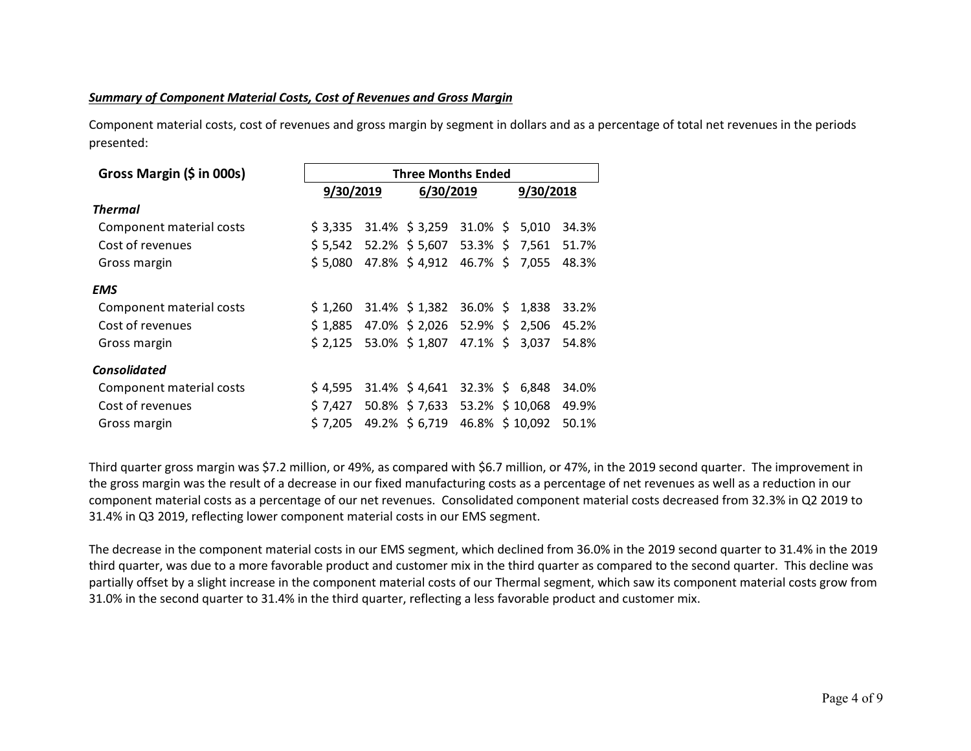# *Summary of Component Material Costs, Cost of Revenues and Gross Margin*

Component material costs, cost of revenues and gross margin by segment in dollars and as a percentage of total net revenues in the periods presented:

| Gross Margin (\$ in 000s) | <b>Three Months Ended</b> |           |                              |                   |  |       |       |  |  |  |
|---------------------------|---------------------------|-----------|------------------------------|-------------------|--|-------|-------|--|--|--|
|                           | 9/30/2019                 | 9/30/2018 |                              |                   |  |       |       |  |  |  |
| <b>Thermal</b>            |                           |           |                              |                   |  |       |       |  |  |  |
| Component material costs  | \$3.335                   |           | $31.4\%$ \$ 3,259 31.0% \$   |                   |  | 5.010 | 34.3% |  |  |  |
| Cost of revenues          | \$5,542                   |           | 52.2% \$5,607 53.3% \$7,561  |                   |  |       | 51.7% |  |  |  |
| Gross margin              | \$5,080                   |           | 47.8% \$4,912                | 46.7% \$          |  | 7,055 | 48.3% |  |  |  |
| <b>EMS</b>                |                           |           |                              |                   |  |       |       |  |  |  |
| Component material costs  | \$1,260                   |           | 31.4% \$1,382                | 36.0% \$ 1,838    |  |       | 33.2% |  |  |  |
| Cost of revenues          | \$1.885                   |           | 47.0% \$2,026 52.9% \$       |                   |  | 2,506 | 45.2% |  |  |  |
| Gross margin              | \$2,125                   |           | 53.0% \$1,807                | 47.1% \$          |  | 3,037 | 54.8% |  |  |  |
| <b>Consolidated</b>       |                           |           |                              |                   |  |       |       |  |  |  |
| Component material costs  | \$4.595                   |           | 31.4% \$4,641                | $32.3\%$ \$ 6,848 |  |       | 34.0% |  |  |  |
| Cost of revenues          | \$7,427                   |           | 50.8% \$7,633 53.2% \$10,068 |                   |  |       | 49.9% |  |  |  |
| Gross margin              | \$7.205                   |           | 49.2% \$ 6,719               | 46.8% \$10,092    |  |       | 50.1% |  |  |  |

Third quarter gross margin was \$7.2 million, or 49%, as compared with \$6.7 million, or 47%, in the 2019 second quarter. The improvement in the gross margin was the result of a decrease in our fixed manufacturing costs as a percentage of net revenues as well as a reduction in our component material costs as a percentage of our net revenues. Consolidated component material costs decreased from 32.3% in Q2 2019 to 31.4% in Q3 2019, reflecting lower component material costs in our EMS segment.

The decrease in the component material costs in our EMS segment, which declined from 36.0% in the 2019 second quarter to 31.4% in the 2019 third quarter, was due to a more favorable product and customer mix in the third quarter as compared to the second quarter. This decline was partially offset by a slight increase in the component material costs of our Thermal segment, which saw its component material costs grow from 31.0% in the second quarter to 31.4% in the third quarter, reflecting a less favorable product and customer mix.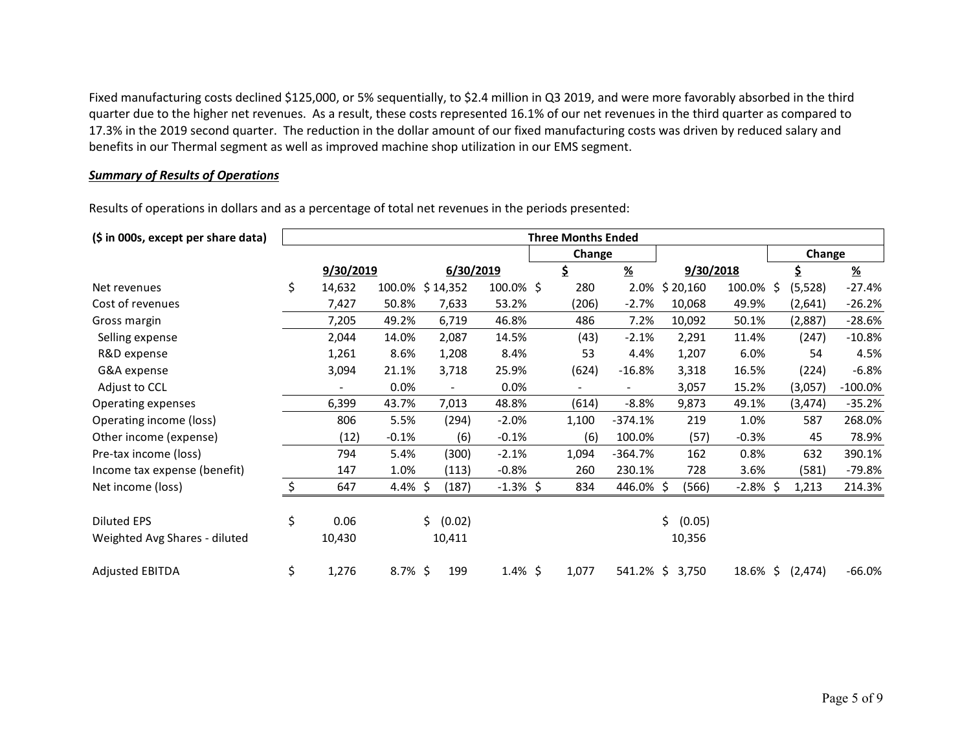Fixed manufacturing costs declined \$125,000, or 5% sequentially, to \$2.4 million in Q3 2019, and were more favorably absorbed in the third quarter due to the higher net revenues. As a result, these costs represented 16.1% of our net revenues in the third quarter as compared to 17.3% in the 2019 second quarter. The reduction in the dollar amount of our fixed manufacturing costs was driven by reduced salary and benefits in our Thermal segment as well as improved machine shop utilization in our EMS segment.

### *Summary of Results of Operations*

Results of operations in dollars and as a percentage of total net revenues in the periods presented:

| (\$ in 000s, except per share data) | <b>Three Months Ended</b> |            |                          |             |  |        |               |              |             |                |               |
|-------------------------------------|---------------------------|------------|--------------------------|-------------|--|--------|---------------|--------------|-------------|----------------|---------------|
|                                     |                           |            |                          |             |  | Change |               |              |             | Change         |               |
|                                     | 9/30/2019                 |            |                          | 6/30/2019   |  | \$     | $\frac{9}{6}$ | 9/30/2018    |             | \$             | $\frac{9}{6}$ |
| Net revenues                        | \$<br>14,632              | 100.0%     | \$14,352                 | 100.0% \$   |  | 280    | 2.0%          | \$20,160     | 100.0%      | \$<br>(5,528)  | $-27.4%$      |
| Cost of revenues                    | 7,427                     | 50.8%      | 7,633                    | 53.2%       |  | (206)  | $-2.7%$       | 10,068       | 49.9%       | (2,641)        | $-26.2%$      |
| Gross margin                        | 7,205                     | 49.2%      | 6,719                    | 46.8%       |  | 486    | 7.2%          | 10,092       | 50.1%       | (2,887)        | $-28.6%$      |
| Selling expense                     | 2,044                     | 14.0%      | 2,087                    | 14.5%       |  | (43)   | $-2.1%$       | 2,291        | 11.4%       | (247)          | $-10.8%$      |
| R&D expense                         | 1,261                     | 8.6%       | 1,208                    | 8.4%        |  | 53     | 4.4%          | 1,207        | 6.0%        | 54             | 4.5%          |
| G&A expense                         | 3,094                     | 21.1%      | 3,718                    | 25.9%       |  | (624)  | $-16.8%$      | 3,318        | 16.5%       | (224)          | $-6.8%$       |
| Adjust to CCL                       |                           | $0.0\%$    | $\overline{\phantom{a}}$ | 0.0%        |  |        |               | 3,057        | 15.2%       | (3,057)        | $-100.0\%$    |
| Operating expenses                  | 6,399                     | 43.7%      | 7,013                    | 48.8%       |  | (614)  | $-8.8%$       | 9,873        | 49.1%       | (3, 474)       | $-35.2%$      |
| Operating income (loss)             | 806                       | 5.5%       | (294)                    | $-2.0%$     |  | 1,100  | $-374.1%$     | 219          | 1.0%        | 587            | 268.0%        |
| Other income (expense)              | (12)                      | $-0.1%$    | (6)                      | $-0.1%$     |  | (6)    | 100.0%        | (57)         | $-0.3%$     | 45             | 78.9%         |
| Pre-tax income (loss)               | 794                       | 5.4%       | (300)                    | $-2.1%$     |  | 1,094  | -364.7%       | 162          | 0.8%        | 632            | 390.1%        |
| Income tax expense (benefit)        | 147                       | 1.0%       | (113)                    | $-0.8%$     |  | 260    | 230.1%        | 728          | 3.6%        | (581)          | $-79.8%$      |
| Net income (loss)                   | \$<br>647                 | 4.4% \$    | (187)                    | $-1.3\%$ \$ |  | 834    | 446.0%\$      | (566)        | $-2.8\%$ \$ | 1,213          | 214.3%        |
| <b>Diluted EPS</b>                  | \$<br>0.06                |            | \$.<br>(0.02)            |             |  |        |               | Ś.<br>(0.05) |             |                |               |
| Weighted Avg Shares - diluted       | 10,430                    |            | 10,411                   |             |  |        |               | 10,356       |             |                |               |
| <b>Adjusted EBITDA</b>              | \$<br>1,276               | $8.7\%$ \$ | 199                      | $1.4\%$ \$  |  | 1,077  | 541.2%\$      | 3,750        | 18.6%       | \$<br>(2, 474) | $-66.0%$      |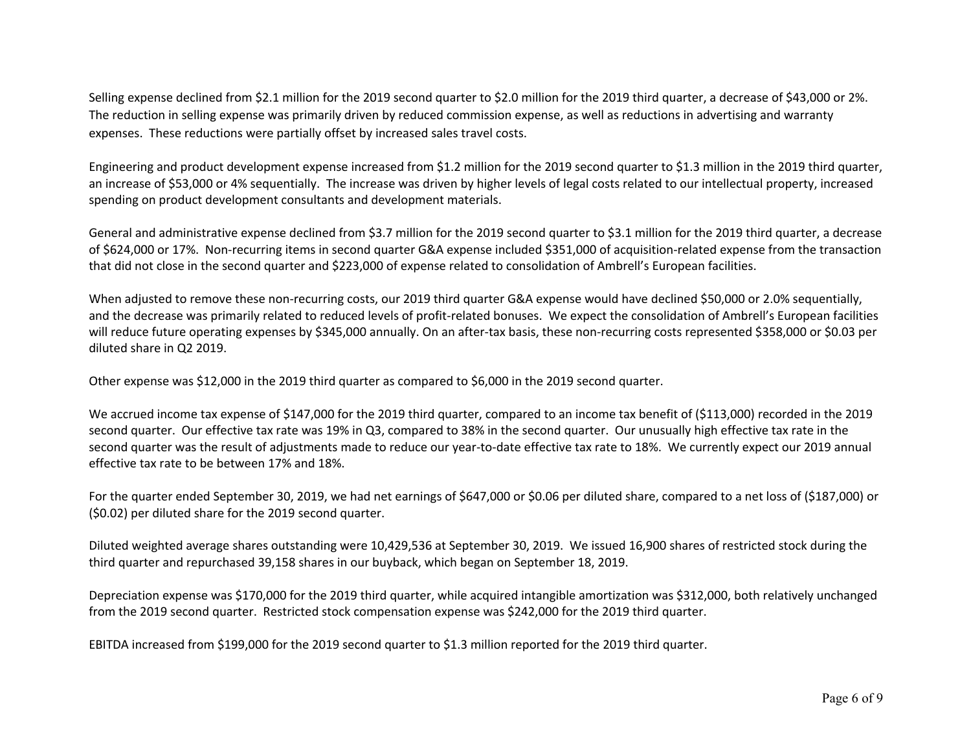Selling expense declined from \$2.1 million for the 2019 second quarter to \$2.0 million for the 2019 third quarter, a decrease of \$43,000 or 2%. The reduction in selling expense was primarily driven by reduced commission expense, as well as reductions in advertising and warranty expenses. These reductions were partially offset by increased sales travel costs.

Engineering and product development expense increased from \$1.2 million for the 2019 second quarter to \$1.3 million in the 2019 third quarter, an increase of \$53,000 or 4% sequentially. The increase was driven by higher levels of legal costs related to our intellectual property, increased spending on product development consultants and development materials.

General and administrative expense declined from \$3.7 million for the 2019 second quarter to \$3.1 million for the 2019 third quarter, a decrease of \$624,000 or 17%. Non-recurring items in second quarter G&A expense included \$351,000 of acquisition-related expense from the transaction that did not close in the second quarter and \$223,000 of expense related to consolidation of Ambrell's European facilities.

When adjusted to remove these non-recurring costs, our 2019 third quarter G&A expense would have declined \$50,000 or 2.0% sequentially, and the decrease was primarily related to reduced levels of profit-related bonuses. We expect the consolidation of Ambrell's European facilities will reduce future operating expenses by \$345,000 annually. On an after-tax basis, these non-recurring costs represented \$358,000 or \$0.03 per diluted share in Q2 2019.

Other expense was \$12,000 in the 2019 third quarter as compared to \$6,000 in the 2019 second quarter.

We accrued income tax expense of \$147,000 for the 2019 third quarter, compared to an income tax benefit of (\$113,000) recorded in the 2019 second quarter. Our effective tax rate was 19% in Q3, compared to 38% in the second quarter. Our unusually high effective tax rate in the second quarter was the result of adjustments made to reduce our year-to-date effective tax rate to 18%. We currently expect our 2019 annual effective tax rate to be between 17% and 18%.

For the quarter ended September 30, 2019, we had net earnings of \$647,000 or \$0.06 per diluted share, compared to a net loss of (\$187,000) or (\$0.02) per diluted share for the 2019 second quarter.

Diluted weighted average shares outstanding were 10,429,536 at September 30, 2019. We issued 16,900 shares of restricted stock during the third quarter and repurchased 39,158 shares in our buyback, which began on September 18, 2019.

Depreciation expense was \$170,000 for the 2019 third quarter, while acquired intangible amortization was \$312,000, both relatively unchanged from the 2019 second quarter. Restricted stock compensation expense was \$242,000 for the 2019 third quarter.

EBITDA increased from \$199,000 for the 2019 second quarter to \$1.3 million reported for the 2019 third quarter.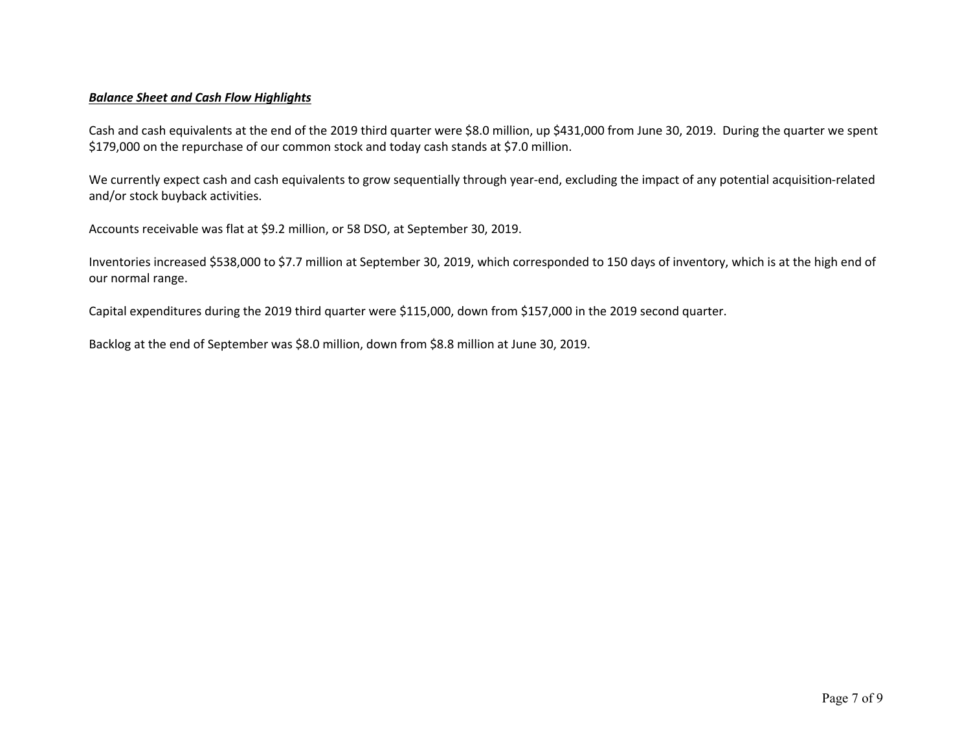### *Balance Sheet and Cash Flow Highlights*

Cash and cash equivalents at the end of the 2019 third quarter were \$8.0 million, up \$431,000 from June 30, 2019. During the quarter we spent \$179,000 on the repurchase of our common stock and today cash stands at \$7.0 million.

We currently expect cash and cash equivalents to grow sequentially through year-end, excluding the impact of any potential acquisition-related and/or stock buyback activities.

Accounts receivable was flat at \$9.2 million, or 58 DSO, at September 30, 2019.

Inventories increased \$538,000 to \$7.7 million at September 30, 2019, which corresponded to 150 days of inventory, which is at the high end of our normal range.

Capital expenditures during the 2019 third quarter were \$115,000, down from \$157,000 in the 2019 second quarter.

Backlog at the end of September was \$8.0 million, down from \$8.8 million at June 30, 2019.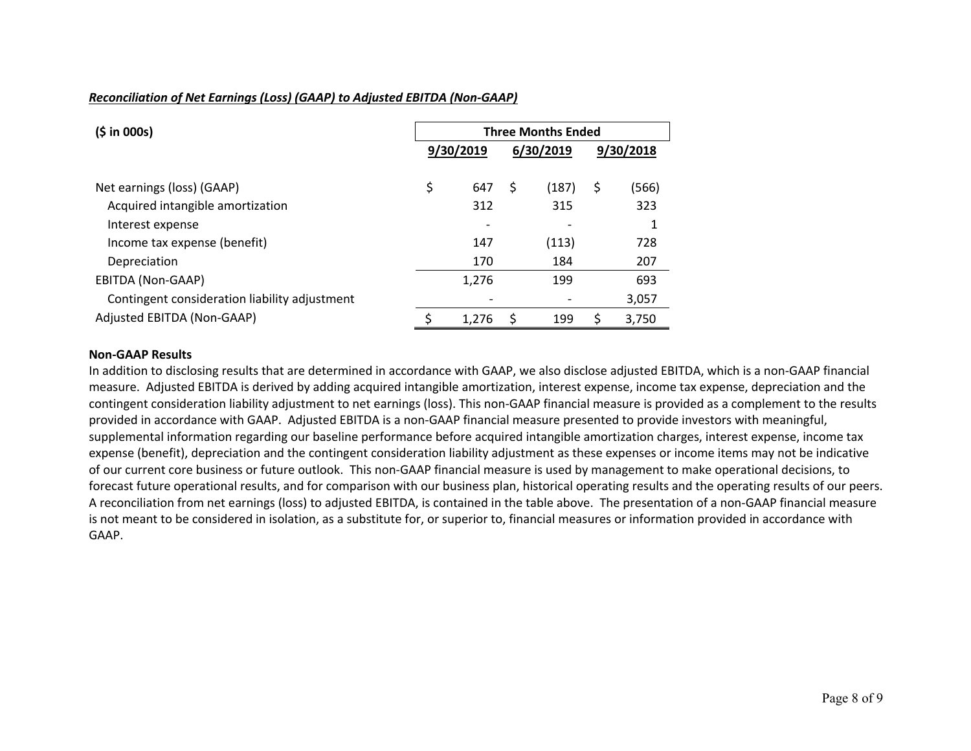# *Reconciliation of Net Earnings (Loss) (GAAP) to Adjusted EBITDA (Non-GAAP)*

| (5 in 000s)                                   | <b>Three Months Ended</b> |           |    |           |    |           |  |  |
|-----------------------------------------------|---------------------------|-----------|----|-----------|----|-----------|--|--|
|                                               |                           | 9/30/2019 |    | 6/30/2019 |    | 9/30/2018 |  |  |
| Net earnings (loss) (GAAP)                    | \$                        | 647       | \$ | (187)     | \$ | (566)     |  |  |
| Acquired intangible amortization              |                           | 312       |    | 315       |    | 323       |  |  |
| Interest expense                              |                           |           |    |           |    | 1         |  |  |
| Income tax expense (benefit)                  |                           | 147       |    | (113)     |    | 728       |  |  |
| Depreciation                                  |                           | 170       |    | 184       |    | 207       |  |  |
| EBITDA (Non-GAAP)                             |                           | 1,276     |    | 199       |    | 693       |  |  |
| Contingent consideration liability adjustment |                           |           |    |           |    | 3,057     |  |  |
| Adjusted EBITDA (Non-GAAP)                    |                           | 1,276     | S  | 199       | S  | 3.750     |  |  |

#### **Non-GAAP Results**

In addition to disclosing results that are determined in accordance with GAAP, we also disclose adjusted EBITDA, which is a non-GAAP financial measure. Adjusted EBITDA is derived by adding acquired intangible amortization, interest expense, income tax expense, depreciation and the contingent consideration liability adjustment to net earnings (loss). This non-GAAP financial measure is provided as a complement to the results provided in accordance with GAAP. Adjusted EBITDA is a non-GAAP financial measure presented to provide investors with meaningful, supplemental information regarding our baseline performance before acquired intangible amortization charges, interest expense, income tax expense (benefit), depreciation and the contingent consideration liability adjustment as these expenses or income items may not be indicative of our current core business or future outlook. This non-GAAP financial measure is used by management to make operational decisions, to forecast future operational results, and for comparison with our business plan, historical operating results and the operating results of our peers. A reconciliation from net earnings (loss) to adjusted EBITDA, is contained in the table above. The presentation of a non-GAAP financial measure is not meant to be considered in isolation, as a substitute for, or superior to, financial measures or information provided in accordance with GAAP.